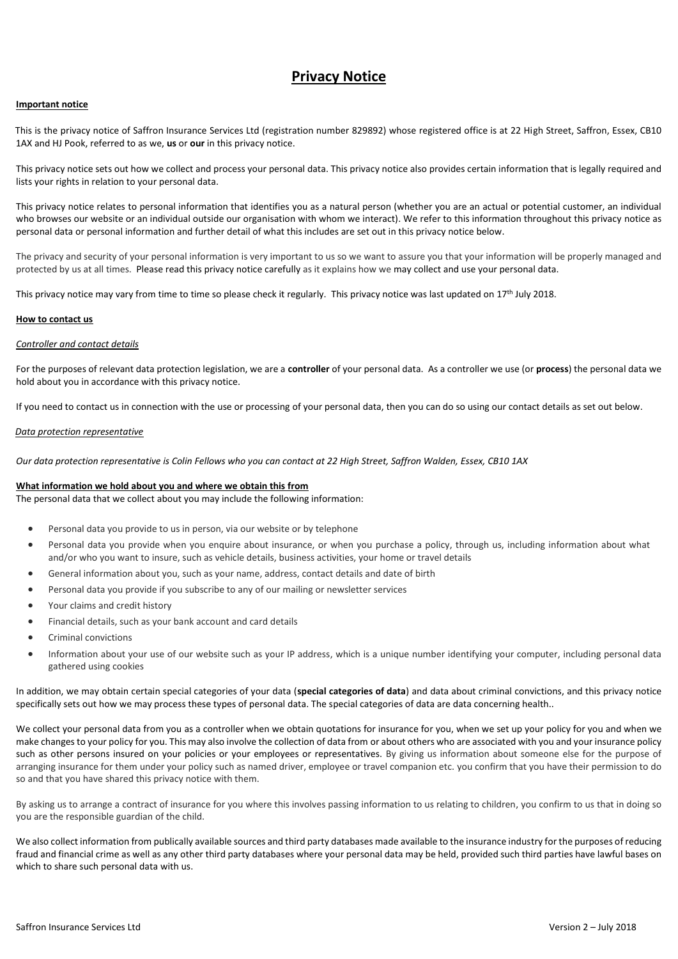# **Privacy Notice**

## **Important notice**

This is the privacy notice of Saffron Insurance Services Ltd (registration number 829892) whose registered office is at 22 High Street, Saffron, Essex, CB10 1AX and HJ Pook, referred to as we, **us** or **our** in this privacy notice.

This privacy notice sets out how we collect and process your personal data. This privacy notice also provides certain information that is legally required and lists your rights in relation to your personal data.

This privacy notice relates to personal information that identifies you as a natural person (whether you are an actual or potential customer, an individual who browses our website or an individual outside our organisation with whom we interact). We refer to this information throughout this privacy notice as personal data or personal information and further detail of what this includes are set out in this privacy notice below.

The privacy and security of your personal information is very important to us so we want to assure you that your information will be properly managed and protected by us at all times. Please read this privacy notice carefully as it explains how we may collect and use your personal data.

This privacy notice may vary from time to time so please check it regularly. This privacy notice was last updated on 17<sup>th</sup> July 2018.

## **How to contact us**

## *Controller and contact details*

For the purposes of relevant data protection legislation, we are a **controller** of your personal data. As a controller we use (or **process**) the personal data we hold about you in accordance with this privacy notice.

If you need to contact us in connection with the use or processing of your personal data, then you can do so using our contact details as set out below.

#### *Data protection representative*

*Our data protection representative is Colin Fellows who you can contact at 22 High Street, Saffron Walden, Essex, CB10 1AX* 

#### **What information we hold about you and where we obtain this from**

The personal data that we collect about you may include the following information:

- Personal data you provide to us in person, via our website or by telephone
- Personal data you provide when you enquire about insurance, or when you purchase a policy, through us, including information about what and/or who you want to insure, such as vehicle details, business activities, your home or travel details
- General information about you, such as your name, address, contact details and date of birth
- Personal data you provide if you subscribe to any of our mailing or newsletter services
- Your claims and credit history
- Financial details, such as your bank account and card details
- **•** Criminal convictions
- Information about your use of our website such as your IP address, which is a unique number identifying your computer, including personal data gathered using cookies

In addition, we may obtain certain special categories of your data (**special categories of data**) and data about criminal convictions, and this privacy notice specifically sets out how we may process these types of personal data. The special categories of data are data concerning health..

We collect your personal data from you as a controller when we obtain quotations for insurance for you, when we set up your policy for you and when we make changes to your policy for you. This may also involve the collection of data from or about others who are associated with you and your insurance policy such as other persons insured on your policies or your employees or representatives. By giving us information about someone else for the purpose of arranging insurance for them under your policy such as named driver, employee or travel companion etc. you confirm that you have their permission to do so and that you have shared this privacy notice with them.

By asking us to arrange a contract of insurance for you where this involves passing information to us relating to children, you confirm to us that in doing so you are the responsible guardian of the child.

We also collect information from publically available sources and third party databases made available to the insurance industry for the purposes of reducing fraud and financial crime as well as any other third party databases where your personal data may be held, provided such third parties have lawful bases on which to share such personal data with us.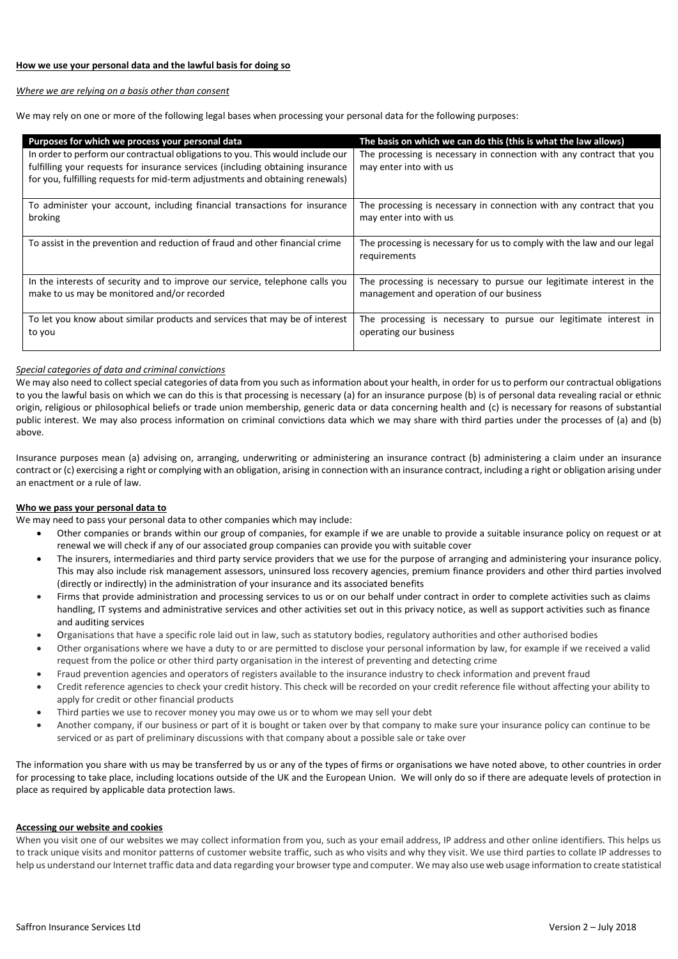## *Where we are relying on a basis other than consent*

We may rely on one or more of the following legal bases when processing your personal data for the following purposes:

| Purposes for which we process your personal data                                                                                                                                                                                                  | The basis on which we can do this (this is what the law allows)                                |
|---------------------------------------------------------------------------------------------------------------------------------------------------------------------------------------------------------------------------------------------------|------------------------------------------------------------------------------------------------|
| In order to perform our contractual obligations to you. This would include our<br>fulfilling your requests for insurance services (including obtaining insurance<br>for you, fulfilling requests for mid-term adjustments and obtaining renewals) | The processing is necessary in connection with any contract that you<br>may enter into with us |
| To administer your account, including financial transactions for insurance                                                                                                                                                                        | The processing is necessary in connection with any contract that you                           |
| broking                                                                                                                                                                                                                                           | may enter into with us                                                                         |
| To assist in the prevention and reduction of fraud and other financial crime                                                                                                                                                                      | The processing is necessary for us to comply with the law and our legal<br>requirements        |
| In the interests of security and to improve our service, telephone calls you                                                                                                                                                                      | The processing is necessary to pursue our legitimate interest in the                           |
| make to us may be monitored and/or recorded                                                                                                                                                                                                       | management and operation of our business                                                       |
| To let you know about similar products and services that may be of interest                                                                                                                                                                       | The processing is necessary to pursue our legitimate interest in                               |
| to you                                                                                                                                                                                                                                            | operating our business                                                                         |

# *Special categories of data and criminal convictions*

We may also need to collect special categories of data from you such as information about your health, in order for us to perform our contractual obligations to you the lawful basis on which we can do this is that processing is necessary (a) for an insurance purpose (b) is of personal data revealing racial or ethnic origin, religious or philosophical beliefs or trade union membership, generic data or data concerning health and (c) is necessary for reasons of substantial public interest. We may also process information on criminal convictions data which we may share with third parties under the processes of (a) and (b) above.

Insurance purposes mean (a) advising on, arranging, underwriting or administering an insurance contract (b) administering a claim under an insurance contract or (c) exercising a right or complying with an obligation, arising in connection with an insurance contract, including a right or obligation arising under an enactment or a rule of law.

# **Who we pass your personal data to**

We may need to pass your personal data to other companies which may include:

- Other companies or brands within our group of companies, for example if we are unable to provide a suitable insurance policy on request or at renewal we will check if any of our associated group companies can provide you with suitable cover
- The insurers, intermediaries and third party service providers that we use for the purpose of arranging and administering your insurance policy. This may also include risk management assessors, uninsured loss recovery agencies, premium finance providers and other third parties involved (directly or indirectly) in the administration of your insurance and its associated benefits
- Firms that provide administration and processing services to us or on our behalf under contract in order to complete activities such as claims handling, IT systems and administrative services and other activities set out in this privacy notice, as well as support activities such as finance and auditing services
- Organisations that have a specific role laid out in law, such as statutory bodies, regulatory authorities and other authorised bodies
- Other organisations where we have a duty to or are permitted to disclose your personal information by law, for example if we received a valid request from the police or other third party organisation in the interest of preventing and detecting crime
- Fraud prevention agencies and operators of registers available to the insurance industry to check information and prevent fraud
- Credit reference agencies to check your credit history. This check will be recorded on your credit reference file without affecting your ability to apply for credit or other financial products
- Third parties we use to recover money you may owe us or to whom we may sell your debt
- Another company, if our business or part of it is bought or taken over by that company to make sure your insurance policy can continue to be serviced or as part of preliminary discussions with that company about a possible sale or take over

The information you share with us may be transferred by us or any of the types of firms or organisations we have noted above, to other countries in order for processing to take place, including locations outside of the UK and the European Union. We will only do so if there are adequate levels of protection in place as required by applicable data protection laws.

# **Accessing our website and cookies**

When you visit one of our websites we may collect information from you, such as your email address, IP address and other online identifiers. This helps us to track unique visits and monitor patterns of customer website traffic, such as who visits and why they visit. We use third parties to collate IP addresses to help us understand our Internet traffic data and data regarding your browser type and computer. We may also use web usage information to create statistical